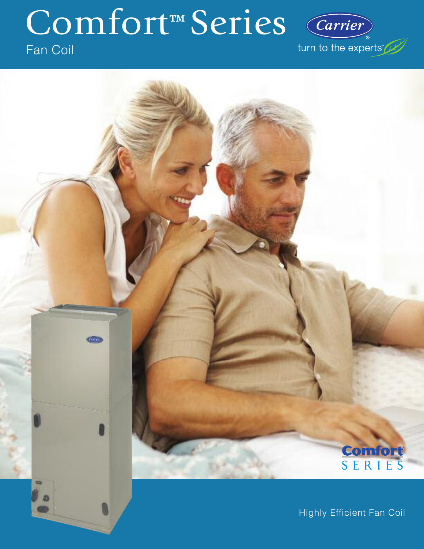# Comfort™ Series

## Fan Coil

Carrier turn to the experts"



Highly Efficient Fan Coil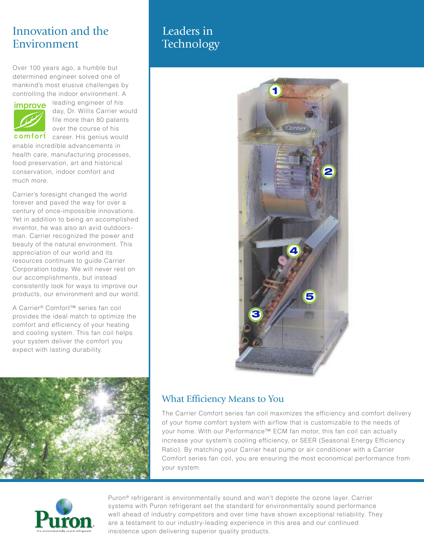## Innovation and the Environment

Over 100 years ago, a humble but determined engineer solved one of mankind's most elusive challenges by controlling the indoor environment. A



leading engineer of his day, Dr. Willis Carrier would file more than 80 patents over the course of his

comfort career. His genius would enable incredible advancements in health care, manufacturing processes, food preservation, art and historical conservation, indoor comfort and much more.

Carrier's foresight changed the world forever and paved the way for over a century of once-impossible innovations. Yet in addition to being an accomplished inventor, he was also an avid outdoorsman. Carrier recognized the power and beauty of the natural environment. This appreciation of our world and its resources continues to guide Carrier Corporation today. We will never rest on our accomplishments, but instead consistently look for ways to improve our products, our environment and our world.

A Carrier® Comfort™ series fan coil provides the ideal match to optimize the comfort and efficiency of your heating and cooling system. This fan coil helps your system deliver the comfort you expect with lasting durability.



## Leaders in **Technology**



## What Efficiency Means to You

The Carrier Comfort series fan coil maximizes the efficiency and comfort delivery of your home comfort system with airflow that is customizable to the needs of your home. With our Performance™ ECM fan motor, this fan coil can actually increase your system's cooling efficiency, or SEER (Seasonal Energy Efficiency Ratio). By matching your Carrier heat pump or air conditioner with a Carrier Comfort series fan coil, you are ensuring the most economical performance from your system.



Puron® refrigerant is environmentally sound and won't deplete the ozone layer. Carrier systems with Puron refrigerant set the standard for environmentally sound performance well ahead of industry competitors and over time have shown exceptional reliability. They are a testament to our industry-leading experience in this area and our continued insistence upon delivering superior quality products.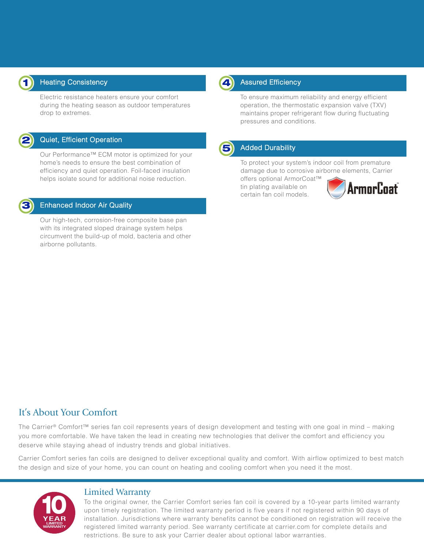

#### Heating Consistency

Electric resistance heaters ensure your comfort during the heating season as outdoor temperatures drop to extremes.



#### Quiet, Efficient Operation

Our Performance™ ECM motor is optimized for your home's needs to ensure the best combination of efficiency and quiet operation. Foil-faced insulation helps isolate sound for additional noise reduction.



#### Enhanced Indoor Air Quality

Our high-tech, corrosion-free composite base pan with its integrated sloped drainage system helps circumvent the build-up of mold, bacteria and other airborne pollutants.



#### **4** Assured Efficiency

To ensure maximum reliability and energy efficient operation, the thermostatic expansion valve (TXV) maintains proper refrigerant flow during fluctuating pressures and conditions.



#### **5** Added Durability

To protect your system's indoor coil from premature damage due to corrosive airborne elements, Carrier

offers optional ArmorCoat™ tin plating available on certain fan coil models.



### It's About Your Comfort

The Carrier® Comfort™ series fan coil represents years of design development and testing with one goal in mind – making you more comfortable. We have taken the lead in creating new technologies that deliver the comfort and efficiency you deserve while staying ahead of industry trends and global initiatives.

Carrier Comfort series fan coils are designed to deliver exceptional quality and comfort. With airflow optimized to best match the design and size of your home, you can count on heating and cooling comfort when you need it the most.



#### Limited Warranty

To the original owner, the Carrier Comfort series fan coil is covered by a 10-year parts limited warranty upon timely registration. The limited warranty period is five years if not registered within 90 days of installation. Jurisdictions where warranty benefits cannot be conditioned on registration will receive the registered limited warranty period. See warranty certificate at carrier.com for complete details and restrictions. Be sure to ask your Carrier dealer about optional labor warranties.